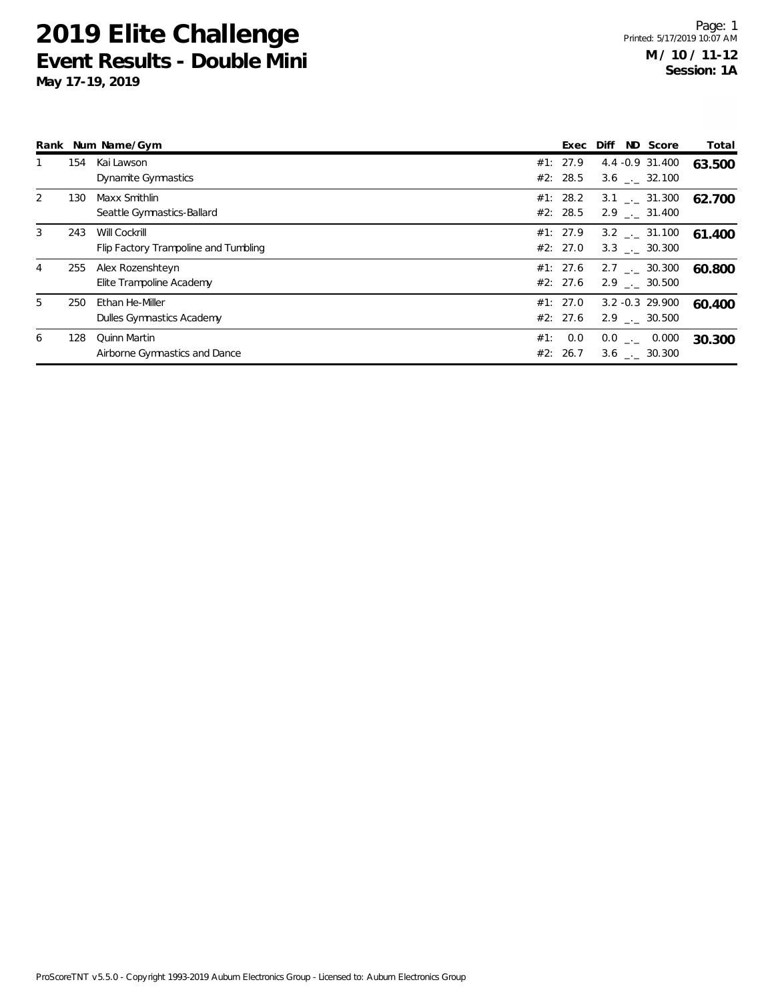|                |     | Rank Num Name/Gym                    |     | Exec     | Diff | ND Score                     | Total  |
|----------------|-----|--------------------------------------|-----|----------|------|------------------------------|--------|
|                | 154 | Kai Lawson                           |     | #1: 27.9 |      | 4.4 -0.9 31.400              | 63.500 |
|                |     | Dynamite Gymnastics                  |     | #2: 28.5 |      | $3.6$ $-.$ 32.100            |        |
| $\overline{2}$ | 130 | Maxx Smithlin                        |     | #1: 28.2 |      | $3.1$ $_{-1}$ $31.300$       | 62.700 |
|                |     | Seattle Gymnastics-Ballard           |     | #2: 28.5 |      | 2.9 . 31.400                 |        |
| 3              | 243 | Will Cockrill                        |     | #1: 27.9 |      | $3.2 \quad . \quad 31.100$   | 61.400 |
|                |     | Flip Factory Trampoline and Tumbling |     | #2: 27.0 |      | $3.3$ $_{-1}$ 30.300         |        |
| 4              | 255 | Alex Rozenshteyn                     |     | #1: 27.6 |      | 2.7 . 30.300                 | 60.800 |
|                |     | Elite Trampoline Academy             |     | #2: 27.6 |      | 2.9 . 30.500                 |        |
| 5              | 250 | Ethan He-Miller                      |     | #1: 27.0 |      | $3.2 - 0.3$ 29.900           | 60.400 |
|                |     | Dulles Gymnastics Academy            |     | #2: 27.6 |      | $2.9$ $_{\sim}$ 30.500       |        |
| 6              | 128 | <b>Quinn Martin</b>                  | #1: | 0.0      |      | $0.0$ _ $-$ 0.000            | 30.300 |
|                |     | Airborne Gymnastics and Dance        |     | #2: 26.7 |      | $3.6$ $_{\leftarrow}$ 30.300 |        |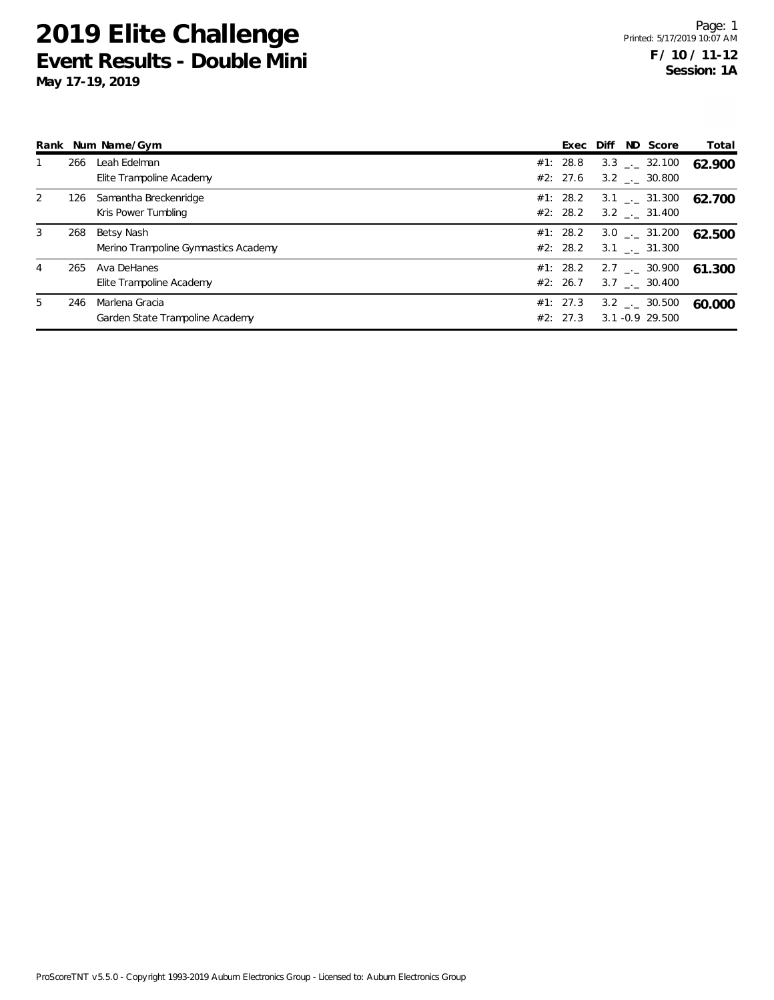|   |     | Rank Num Name/Gym                                  |                      | Exec Diff ND Score                                           | Total  |
|---|-----|----------------------------------------------------|----------------------|--------------------------------------------------------------|--------|
|   | 266 | Leah Edelman<br>Elite Trampoline Academy           | #1: 28.8<br>#2: 27.6 | $3.3$ $_{\leftarrow}$ 32.100<br>$3.2$ $_{\leftarrow}$ 30.800 | 62.900 |
| 2 | 126 | Samantha Breckenridge<br>Kris Power Tumbling       | #1: 28.2             | $3.1$ $_{-1}$ $31.300$<br>$#2: 28.2 \t3.2 \t3.31.400$        | 62.700 |
| 3 | 268 | Betsy Nash<br>Merino Trampoline Gymnastics Academy | #1: 28.2             | $3.0$ $_{-1}$ $31.200$<br>#2: 28.2 3.1 $\ldots$ 31.300       | 62.500 |
| 4 | 265 | Ava DeHanes<br>Elite Trampoline Academy            | #1: 28.2<br>#2: 26.7 | 2.7 $\frac{1}{2}$ 30.900<br>$3.7$ $_{\sim}$ 30.400           | 61.300 |
| 5 | 246 | Marlena Gracia<br>Garden State Trampoline Academy  | #1: 27.3<br>#2: 27.3 | $3.2$ $_{\leftarrow}$ 30.500<br>$3.1 - 0.9$ 29.500           | 60.000 |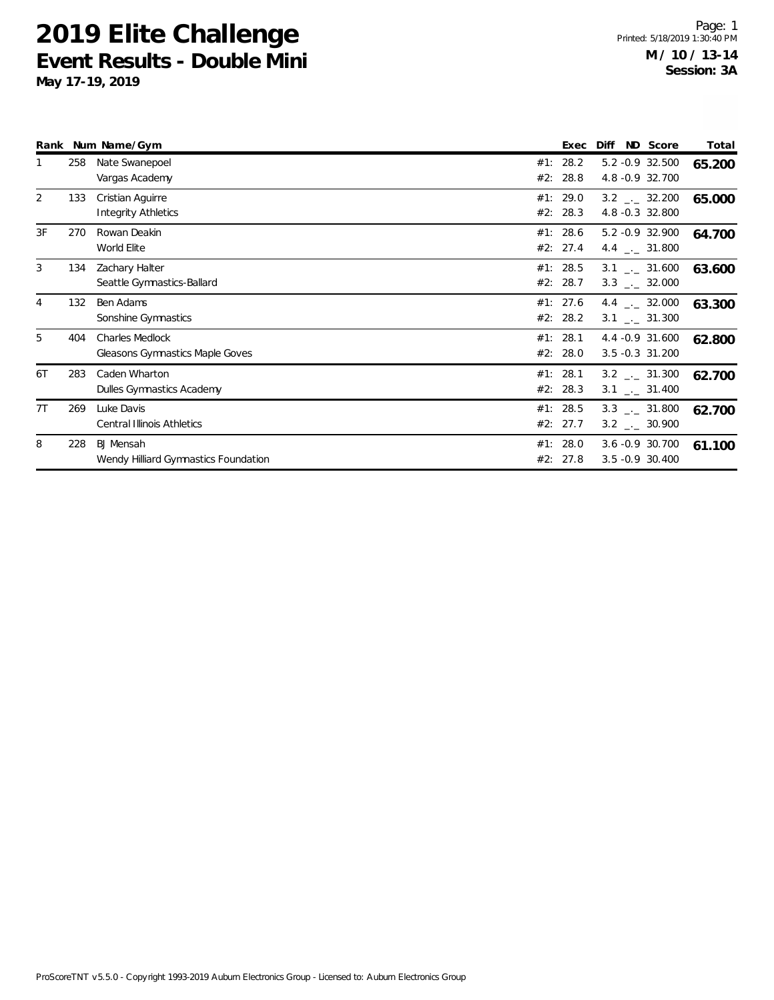|    |     | Rank Num Name/Gym                                         |            | Exec                 | Diff                                                         | ND Score | Total  |
|----|-----|-----------------------------------------------------------|------------|----------------------|--------------------------------------------------------------|----------|--------|
|    | 258 | Nate Swanepoel<br>Vargas Academy                          | #1:<br>#2: | 28.2<br>28.8         | 5.2 -0.9 32.500<br>4.8 - 0.9 32.700                          |          | 65.200 |
| 2  | 133 | Cristian Aguirre<br><b>Integrity Athletics</b>            | #1:<br>#2: | 29.0<br>28.3         | $3.2$ $_{\leftarrow}$ 32.200<br>4.8 -0.3 32.800              |          | 65.000 |
| 3F | 270 | Rowan Deakin<br>World Elite                               | #1:<br>#2: | 28.6<br>27.4         | 5.2 -0.9 32.900<br>4.4 $\frac{1}{2}$ 31.800                  |          | 64.700 |
| 3  | 134 | Zachary Halter<br>Seattle Gymnastics-Ballard              |            | #1: 28.5<br>#2: 28.7 | $3.1$ _._ 31.600<br>$3.3$ $_{\leftarrow}$ 32.000             |          | 63.600 |
| 4  | 132 | Ben Adams<br>Sonshine Gymnastics                          |            | #1: 27.6<br>#2: 28.2 | 4.4 $\qquad$ 32.000<br>$3.1$ _._ 31.300                      |          | 63.300 |
| 5  | 404 | <b>Charles Medlock</b><br>Gleasons Gymnastics Maple Goves | #1:<br>#2: | 28.1<br>28.0         | 4.4 -0.9 31.600<br>3.5 -0.3 31.200                           |          | 62.800 |
| 6T | 283 | Caden Wharton<br>Dulles Gymnastics Academy                | #1:        | 28.1<br>#2: 28.3     | $3.2$ $_{\leftarrow}$ 31.300<br>$3.1$ _._ 31.400             |          | 62.700 |
| 7T | 269 | Luke Davis<br><b>Central Illinois Athletics</b>           |            | #1: 28.5<br>#2: 27.7 | $3.3$ $_{\leftarrow}$ 31.800<br>$3.2$ $_{\leftarrow}$ 30.900 |          | 62.700 |
| 8  | 228 | <b>BJ</b> Mensah<br>Wendy Hilliard Gymnastics Foundation  | #1:<br>#2: | 28.0<br>27.8         | 3.6 -0.9 30.700<br>3.5 - 0.9 30.400                          |          | 61.100 |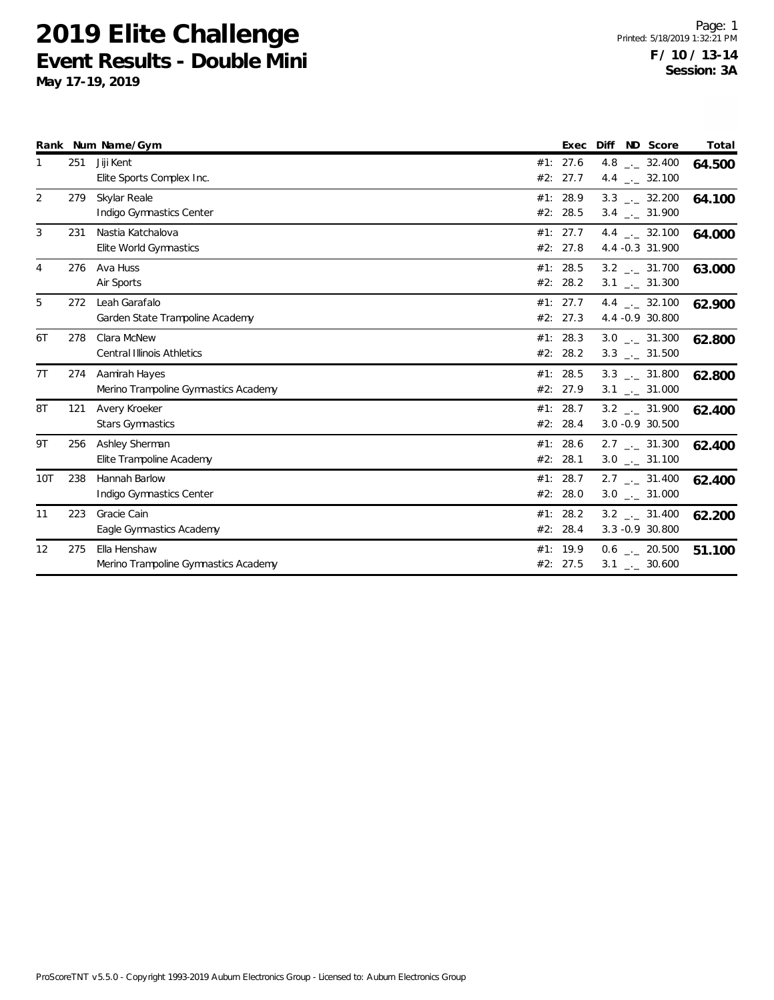|            |     | Rank Num Name/Gym                                     | Exec                 | Diff ND Score                                                | Total  |
|------------|-----|-------------------------------------------------------|----------------------|--------------------------------------------------------------|--------|
| 1          | 251 | Jiji Kent<br>Elite Sports Complex Inc.                | #1: 27.6<br>#2: 27.7 | 4.8 $\qquad \qquad -2$ 32.400<br>4.4 $\frac{1}{2}$ 32.100    | 64.500 |
| 2          | 279 | Skylar Reale<br>Indigo Gymnastics Center              | #1: 28.9<br>#2: 28.5 | $3.3$ $_{\leftarrow}$ 32.200<br>$3.4$ $_{\leftarrow}$ 31.900 | 64.100 |
| 3          | 231 | Nastia Katchalova<br>Elite World Gymnastics           | #1: 27.7<br>#2: 27.8 | 4.4 $\qquad$ 32.100<br>4.4 -0.3 31.900                       | 64.000 |
| 4          | 276 | Ava Huss<br>Air Sports                                | #1: 28.5<br>#2: 28.2 | $3.2$ $_{\leftarrow}$ 31.700<br>$3.1$ $_{-}$ 31.300          | 63.000 |
| 5          | 272 | Leah Garafalo<br>Garden State Trampoline Academy      | #1: 27.7<br>#2: 27.3 | 4.4 $\frac{1}{2}$ 32.100<br>4.4 -0.9 30.800                  | 62.900 |
| 6T         | 278 | Clara McNew<br><b>Central Illinois Athletics</b>      | #1: 28.3<br>#2: 28.2 | $3.0$ __ 31.300<br>$3.3$ $_{\leftarrow}$ 31.500              | 62.800 |
| 7T         | 274 | Aamirah Hayes<br>Merino Trampoline Gymnastics Academy | #1: 28.5<br>#2: 27.9 | $3.3$ _ $-31.800$<br>$3.1$ $_{-1}$ 31.000                    | 62.800 |
| 8T         | 121 | Avery Kroeker<br><b>Stars Gymnastics</b>              | #1: 28.7<br>#2: 28.4 | $3.2$ _._ 31.900<br>3.0 -0.9 30.500                          | 62.400 |
| 9T         | 256 | Ashley Sherman<br>Elite Trampoline Academy            | #1: 28.6<br>#2: 28.1 | $2.7$ $_{\leftarrow}$ 31.300<br>$3.0$ _ $-31.100$            | 62.400 |
| <b>10T</b> | 238 | Hannah Barlow<br>Indigo Gymnastics Center             | #1: 28.7<br>#2: 28.0 | $2.7$ $_{\leftarrow}$ 31.400<br>$3.0$ _ $-31.000$            | 62.400 |
| 11         | 223 | Gracie Cain<br>Eagle Gymnastics Academy               | #1: 28.2<br>#2: 28.4 | $3.2$ $-.2$ 31.400<br>3.3 - 0.9 30.800                       | 62.200 |
| 12         | 275 | Ella Henshaw<br>Merino Trampoline Gymnastics Academy  | #1: 19.9<br>#2: 27.5 | $0.6$ _._ 20.500<br>$3.1$ $_{\leftarrow}$ 30.600             | 51.100 |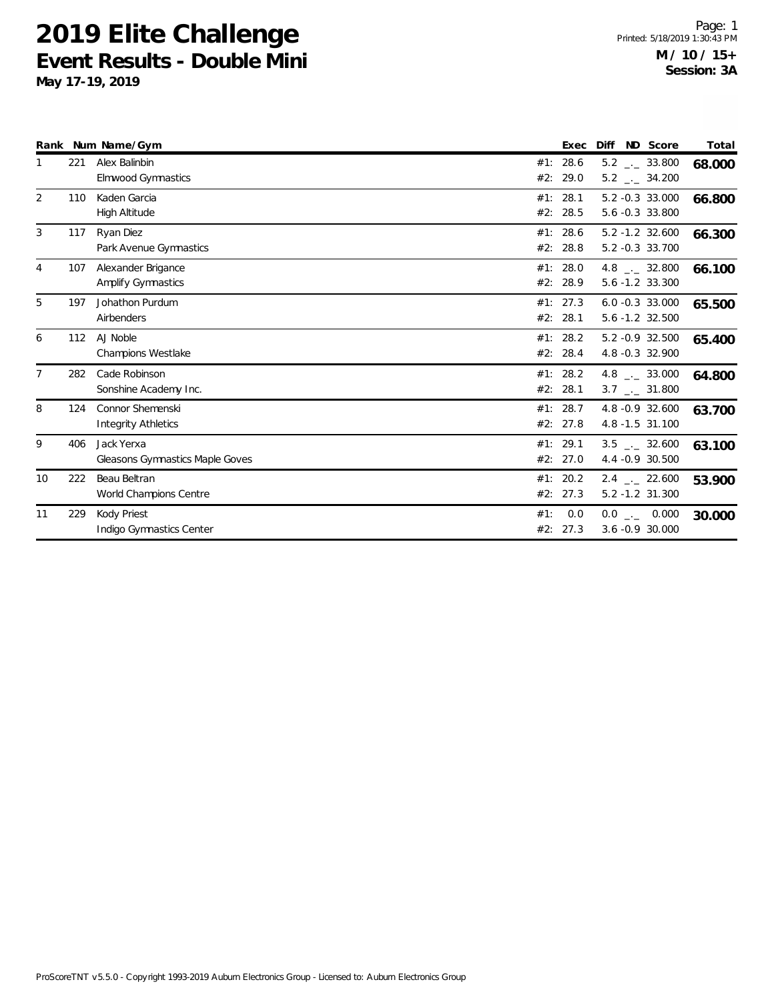|                |     | Rank Num Name/Gym                                     |            | Exec                 | ND Score<br>Diff                                        | Total  |
|----------------|-----|-------------------------------------------------------|------------|----------------------|---------------------------------------------------------|--------|
|                | 221 | Alex Balinbin<br><b>Elmwood Gymnastics</b>            | #1:<br>#2: | 28.6<br>29.0         | $5.2$ _ $-$ 33.800<br>$5.2$ _ $-34.200$                 | 68.000 |
| 2              | 110 | Kaden Garcia<br><b>High Altitude</b>                  | #1:<br>#2: | 28.1<br>28.5         | 5.2 -0.3 33.000<br>5.6 -0.3 33.800                      | 66.800 |
| 3              | 117 | Ryan Diez<br>Park Avenue Gymnastics                   | #1:<br>#2: | 28.6<br>28.8         | $5.2 - 1.2$ 32.600<br>5.2 -0.3 33.700                   | 66.300 |
| 4              | 107 | Alexander Brigance<br><b>Amplify Gymnastics</b>       | #2:        | #1: 28.0<br>28.9     | 4.8 $\_\_$ 32.800<br>$5.6 - 1.2$ 33.300                 | 66.100 |
| 5              | 197 | Johathon Purdum<br>Airbenders                         | #2:        | #1: 27.3<br>28.1     | $6.0 -0.3$ 33.000<br>$5.6 - 1.2$ 32.500                 | 65.500 |
| 6              | 112 | AJ Noble<br><b>Champions Westlake</b>                 | #2:        | #1: 28.2<br>28.4     | 5.2 -0.9 32.500<br>4.8 -0.3 32.900                      | 65.400 |
| $\overline{7}$ | 282 | Cade Robinson<br>Sonshine Academy Inc.                | #1:        | 28.2<br>#2: 28.1     | 4.8 $\qquad$ $-$ 33.000<br>$3.7$ $_{\leftarrow}$ 31.800 | 64.800 |
| 8              | 124 | <b>Connor Shemenski</b><br><b>Integrity Athletics</b> |            | #1: 28.7<br>#2: 27.8 | 4.8 -0.9 32.600<br>4.8 -1.5 31.100                      | 63.700 |
| 9              | 406 | Jack Yerxa<br>Gleasons Gymnastics Maple Goves         | #1:        | 29.1<br>#2: 27.0     | $3.5$ $_{-}$ 32.600<br>4.4 -0.9 30.500                  | 63.100 |
| 10             | 222 | Beau Beltran<br>World Champions Centre                | #1:<br>#2: | 20.2<br>27.3         | $2.4$ $_{-}$ 22.600<br>$5.2 - 1.2$ 31.300               | 53.900 |
| 11             | 229 | Kody Priest<br>Indigo Gymnastics Center               | #1:        | 0.0<br>#2: 27.3      | $0.0$ _ 0.000<br>$3.6 - 0.9$ 30.000                     | 30.000 |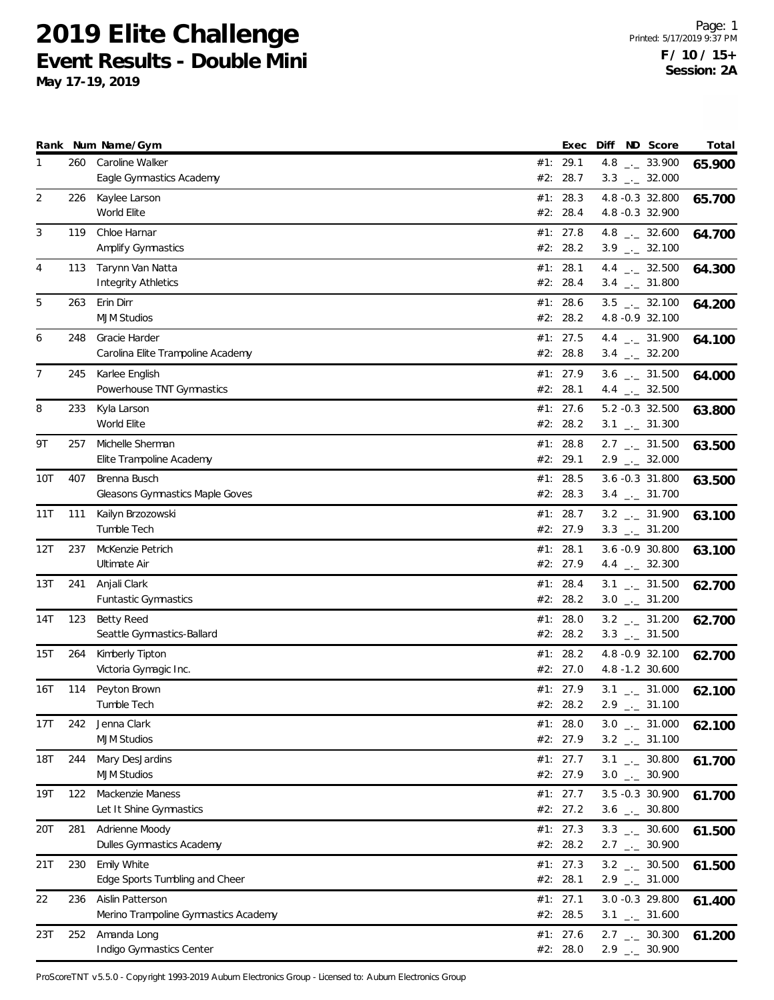**May 17-19, 2019**

|              |            | Rank Num Name/Gym                                                 |     | Exec                               | Diff | ND Score                                                                        | Total  |
|--------------|------------|-------------------------------------------------------------------|-----|------------------------------------|------|---------------------------------------------------------------------------------|--------|
| $\mathbf{1}$ | 260        | Caroline Walker<br>Eagle Gymnastics Academy                       | #2: | #1: 29.1<br>28.7                   |      | 4.8 $_{\leftarrow}$ 33.900<br>$3.3$ $_{\leftarrow}$ 32.000                      | 65.900 |
| 2            | 226        | Kaylee Larson<br>World Elite                                      | #2: | #1: 28.3<br>28.4                   |      | 4.8 -0.3 32.800<br>4.8 -0.3 32.900                                              | 65.700 |
| 3            | 119        | Chloe Harnar<br>Amplify Gymnastics                                |     | #1: $27.8$<br>#2: 28.2             |      | 4.8 $_{\leftarrow}$ 32.600<br>$3.9$ $_{\leftarrow}$ 32.100                      | 64.700 |
| 4            | 113        | Tarynn Van Natta<br><b>Integrity Athletics</b>                    |     | #1: 28.1<br>#2: 28.4               |      | 4.4 $\frac{1}{2}$ 32.500<br>$3.4$ _._ 31.800                                    | 64.300 |
| 5            | 263        | Erin Dirr<br><b>MJM Studios</b>                                   | #1: | 28.6<br>#2: 28.2                   |      | $3.5$ _ $-32.100$<br>4.8 - 0.9 32.100                                           | 64.200 |
| 6            | 248        | Gracie Harder<br>Carolina Elite Trampoline Academy                |     | #1: 27.5<br>#2: 28.8               |      | 4.4 $_{\leftarrow}$ 31.900<br>$3.4$ $-2.32.200$                                 | 64.100 |
| 7            | 245        | Karlee English<br>Powerhouse TNT Gymnastics                       |     | #1: 27.9<br>#2: 28.1               |      | $3.6$ $_{-1}$ 31.500<br>4.4 $\frac{1}{2}$ 32.500                                | 64.000 |
| 8            | 233        | Kyla Larson<br>World Elite                                        |     | #1: 27.6<br>#2: 28.2               |      | 5.2 -0.3 32.500<br>$3.1$ $_{\leftarrow}$ 31.300                                 | 63.800 |
| 9T           | 257        | Michelle Sherman<br>Elite Trampoline Academy                      |     | #1: 28.8<br>#2: 29.1               |      | $2.7$ $_{\leftarrow}$ 31.500<br>$2.9$ $_{\leftarrow}$ 32.000                    | 63.500 |
| 10T          | 407        | Brenna Busch<br>Gleasons Gymnastics Maple Goves                   |     | #1: 28.5<br>#2: 28.3               |      | 3.6 -0.3 31.800<br>$3.4$ $_{-1}$ 31.700                                         | 63.500 |
| 11T          | 111        | Kailyn Brzozowski<br>Tumble Tech                                  |     | #1: 28.7<br>#2: 27.9               |      | $3.2$ $_{-}$ 31.900<br>$3.3$ _ $-31.200$                                        | 63.100 |
| 12T          | 237        | McKenzie Petrich<br>Ultimate Air                                  | #1: | 28.1<br>#2: 27.9                   |      | 3.6 -0.9 30.800<br>4.4 $\qquad$ 32.300                                          | 63.100 |
| 13T          | 241        | Anjali Clark<br><b>Funtastic Gymnastics</b>                       |     | #1: 28.4<br>#2: 28.2               |      | $3.1$ $_{\leftarrow}$ 31.500<br>$3.0$ __ 31.200                                 | 62.700 |
| 14T          | 123        | <b>Betty Reed</b><br>Seattle Gymnastics-Ballard                   |     | #1: $28.0$<br>#2: 28.2             |      | $3.2$ _ $-31.200$<br>$3.3$ $_{\leftarrow}$ 31.500                               | 62.700 |
| 15T          | 264        | Kimberly Tipton<br>Victoria Gymagic Inc.                          | #1: | 28.2<br>#2: 27.0                   |      | 4.8 - 0.9 32.100<br>4.8 -1.2 30.600                                             | 62.700 |
| 16T          | 114        | Peyton Brown<br>Tumble Tech                                       |     | #1: 27.9<br>#2: 28.2               |      | $3.1$ _._ 31.000<br>$2.9$ $_{\leftarrow}$ 31.100                                | 62.100 |
| 17T          | 242        | Jenna Clark<br><b>MJM Studios</b>                                 |     | #1: $28.0$<br>#2: 27.9             |      | $3.0$ _ $-31.000$<br>$3.2$ _ $-31.100$                                          | 62.100 |
| <b>18T</b>   | 244<br>122 | Mary DesJardins<br><b>MJM Studios</b><br>Mackenzie Maness         |     | #1: 27.7<br>#2: 27.9<br>#1: $27.7$ |      | $3.1$ $_{-1}$ 30.800<br>$3.0$ _ $-30.900$<br>3.5 -0.3 30.900                    | 61.700 |
| 19T          | 281        | Let It Shine Gymnastics                                           |     | #2: 27.2                           |      | $3.6$ $_{\leftarrow}$ 30.800<br>$3.3$ $_{-1}$ 30.600                            | 61.700 |
| 20T<br>21T   | 230        | Adrienne Moody<br>Dulles Gymnastics Academy<br><b>Emily White</b> |     | #1: 27.3<br>#2: 28.2<br>#1: $27.3$ |      | $2.7$ $_{\leftarrow}$ 30.900                                                    | 61.500 |
| 22           | 236        | Edge Sports Tumbling and Cheer<br>Aislin Patterson                |     | #2: 28.1<br>#1: 27.1               |      | $3.2$ $_{\leftarrow}$ 30.500<br>$2.9$ $_{\leftarrow}$ 31.000<br>3.0 -0.3 29.800 | 61.500 |
| 23T          | 252        | Merino Trampoline Gymnastics Academy<br>Amanda Long               |     | #2: 28.5<br>#1: $27.6$             |      | $3.1$ $_{-1}$ 31.600<br>$2.7$ $_{\leftarrow}$ 30.300                            | 61.400 |
|              |            | Indigo Gymnastics Center                                          |     | #2: 28.0                           |      | $2.9$ $_{\leftarrow}$ 30.900                                                    | 61.200 |

ProScoreTNT v5.5.0 - Copyright 1993-2019 Auburn Electronics Group - Licensed to: Auburn Electronics Group